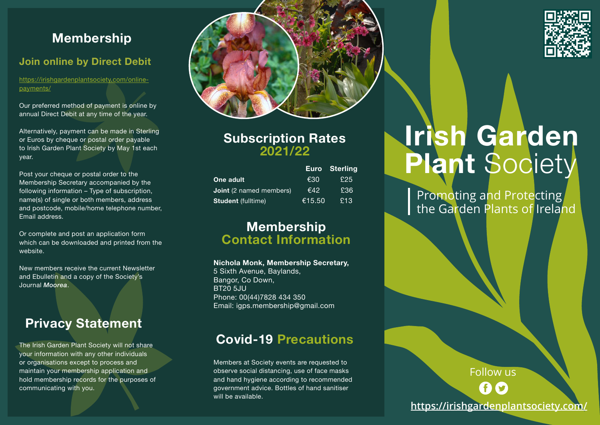## **Membership**

### **Join online by Direct Debit**

https://irishgardenplantsociety.com/onlinepayments/

Our preferred method of payment is online by annual Direct Debit at any time of the year.

Alternatively, payment can be made in Sterling or Euros by cheque or postal order payable to Irish Garden Plant Society by May 1st each year.

Post your cheque or postal order to the Membership Secretary accompanied by the following information – Type of subscription, name(s) of single or both members, address and postcode, mobile/home telephone number, Email address.

Or complete and post an application form which can be downloaded and printed from the website.

New members receive the current Newsletter and Ebulletin and a copy of the Society's Journal *Moorea*.

# **Privacy Statement**

The Irish Garden Plant Society will not share your information with any other individuals or organisations except to process and maintain your membership application and hold membership records for the purposes of communicating with you.



### **Subscription Rates 2021/22**

|                                |        | <b>Euro</b> Sterling |  |
|--------------------------------|--------|----------------------|--|
| One adult                      | €30    | £25                  |  |
| <b>Joint</b> (2 named members) | €42    | £36                  |  |
| <b>Student</b> (fulltime)      | €15.50 | £13                  |  |

### **Membership Contact Information**

#### **Nichola Monk, Membership Secretary,**

5 Sixth Avenue, Baylands, Bangor, Co Down, **BT20 5JU** Phone: 00(44)7828 434 350 Email: igps.membership@gmail.com

## **Covid-19 Precautions**

Members at Society events are requested to observe social distancing, use of face masks and hand hygiene according to recommended government advice. Bottles of hand sanitiser will be available.



Promoting and Protecting the Garden Plants of Ireland



Follow us

**https://irishgardenplantsociety.com/**